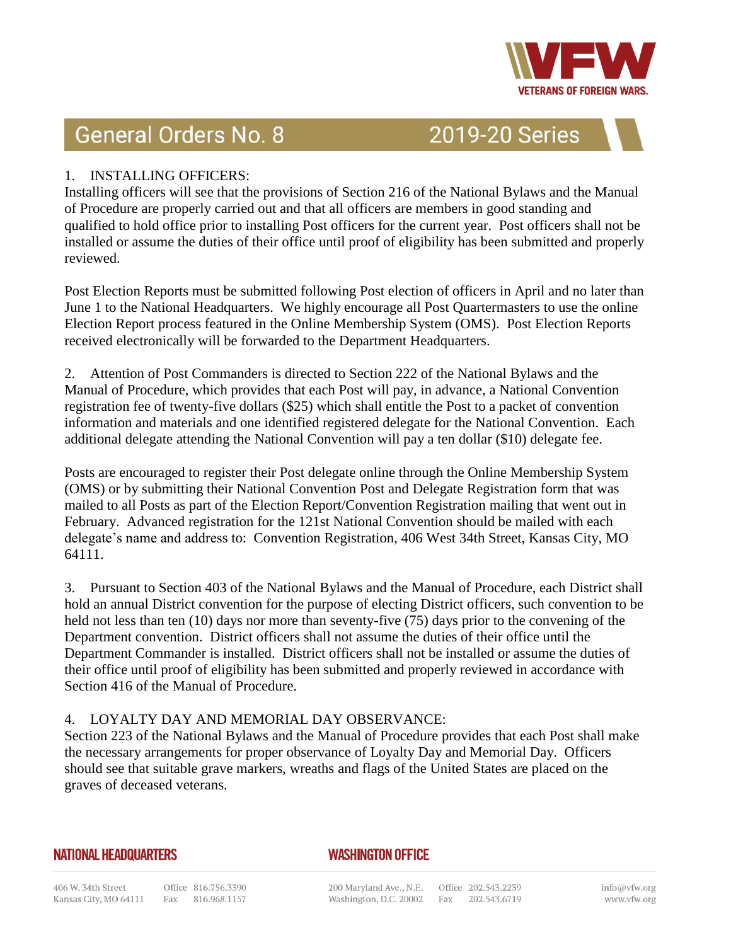

# **General Orders No. 8**

**2019-20 Series** 

# 1. INSTALLING OFFICERS:

Installing officers will see that the provisions of Section 216 of the National Bylaws and the Manual of Procedure are properly carried out and that all officers are members in good standing and qualified to hold office prior to installing Post officers for the current year. Post officers shall not be installed or assume the duties of their office until proof of eligibility has been submitted and properly reviewed.

Post Election Reports must be submitted following Post election of officers in April and no later than June 1 to the National Headquarters. We highly encourage all Post Quartermasters to use the online Election Report process featured in the Online Membership System (OMS). Post Election Reports received electronically will be forwarded to the Department Headquarters.

2. Attention of Post Commanders is directed to Section 222 of the National Bylaws and the Manual of Procedure, which provides that each Post will pay, in advance, a National Convention registration fee of twenty-five dollars (\$25) which shall entitle the Post to a packet of convention information and materials and one identified registered delegate for the National Convention. Each additional delegate attending the National Convention will pay a ten dollar (\$10) delegate fee.

Posts are encouraged to register their Post delegate online through the Online Membership System (OMS) or by submitting their National Convention Post and Delegate Registration form that was mailed to all Posts as part of the Election Report/Convention Registration mailing that went out in February. Advanced registration for the 121st National Convention should be mailed with each delegate's name and address to: Convention Registration, 406 West 34th Street, Kansas City, MO 64111.

3. Pursuant to Section 403 of the National Bylaws and the Manual of Procedure, each District shall hold an annual District convention for the purpose of electing District officers, such convention to be held not less than ten (10) days nor more than seventy-five (75) days prior to the convening of the Department convention. District officers shall not assume the duties of their office until the Department Commander is installed. District officers shall not be installed or assume the duties of their office until proof of eligibility has been submitted and properly reviewed in accordance with Section 416 of the Manual of Procedure.

# 4. LOYALTY DAY AND MEMORIAL DAY OBSERVANCE:

Section 223 of the National Bylaws and the Manual of Procedure provides that each Post shall make the necessary arrangements for proper observance of Loyalty Day and Memorial Day. Officers should see that suitable grave markers, wreaths and flags of the United States are placed on the graves of deceased veterans.

#### **NATIONAL HEADQUARTERS**

# **WASHINGTON OFFICE**

200 Maryland Ave., N.E. Office 202.543.2239 Washington, D.C. 20002 Fax 202.543.6719